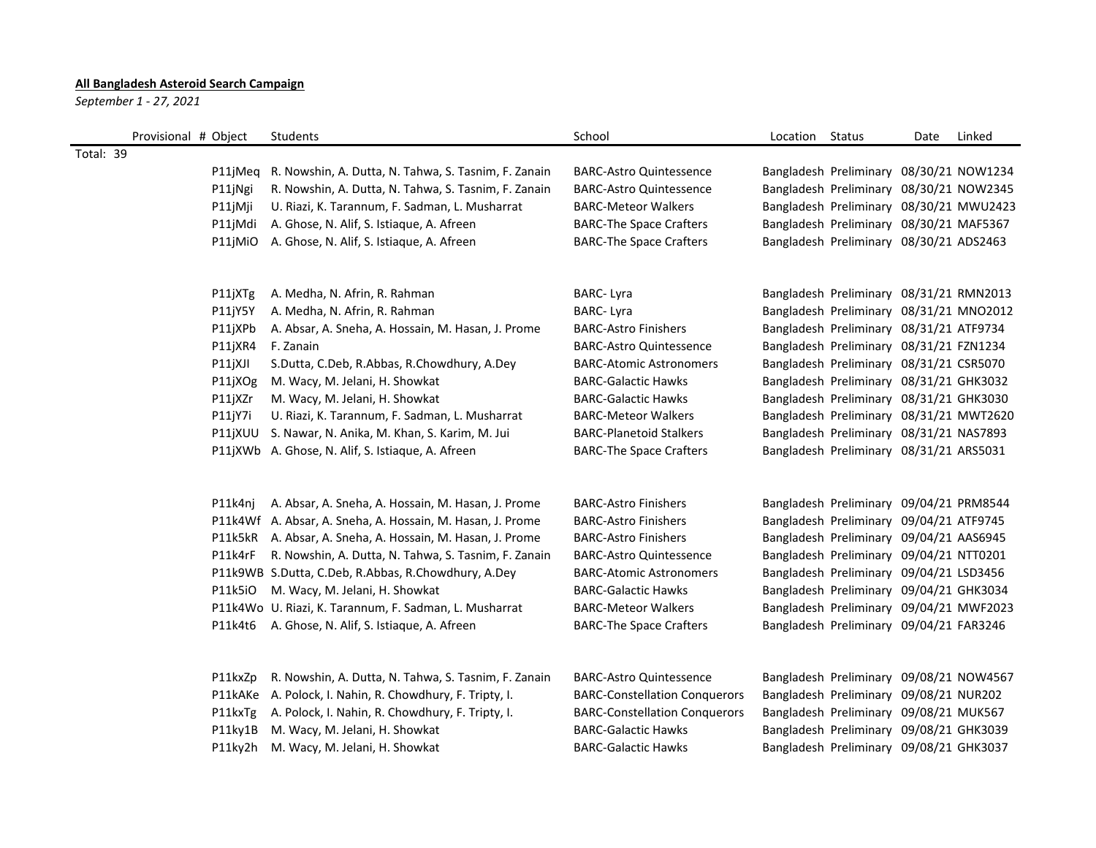## **All Bangladesh Asteroid Search Campaign**

*September 1 - 27, 2021*

| Provisional # Object | Students                                                     | School                               | Location Status |                                         | Date | Linked |
|----------------------|--------------------------------------------------------------|--------------------------------------|-----------------|-----------------------------------------|------|--------|
| Total: 39            |                                                              |                                      |                 |                                         |      |        |
|                      | P11jMeq R. Nowshin, A. Dutta, N. Tahwa, S. Tasnim, F. Zanain | <b>BARC-Astro Quintessence</b>       |                 | Bangladesh Preliminary 08/30/21 NOW1234 |      |        |
| P11jNgi              | R. Nowshin, A. Dutta, N. Tahwa, S. Tasnim, F. Zanain         | <b>BARC-Astro Quintessence</b>       |                 | Bangladesh Preliminary 08/30/21 NOW2345 |      |        |
| P11jMji              | U. Riazi, K. Tarannum, F. Sadman, L. Musharrat               | <b>BARC-Meteor Walkers</b>           |                 | Bangladesh Preliminary 08/30/21 MWU2423 |      |        |
| P11jMdi              | A. Ghose, N. Alif, S. Istiaque, A. Afreen                    | <b>BARC-The Space Crafters</b>       |                 | Bangladesh Preliminary 08/30/21 MAF5367 |      |        |
| P11jMiO              | A. Ghose, N. Alif, S. Istiaque, A. Afreen                    | <b>BARC-The Space Crafters</b>       |                 | Bangladesh Preliminary 08/30/21 ADS2463 |      |        |
| P11jXTg              | A. Medha, N. Afrin, R. Rahman                                | <b>BARC-Lyra</b>                     |                 | Bangladesh Preliminary 08/31/21 RMN2013 |      |        |
| P11jY5Y              | A. Medha, N. Afrin, R. Rahman                                | <b>BARC-Lyra</b>                     |                 | Bangladesh Preliminary 08/31/21 MNO2012 |      |        |
| P11jXPb              | A. Absar, A. Sneha, A. Hossain, M. Hasan, J. Prome           | <b>BARC-Astro Finishers</b>          |                 | Bangladesh Preliminary 08/31/21 ATF9734 |      |        |
| P11jXR4              | F. Zanain                                                    | <b>BARC-Astro Quintessence</b>       |                 | Bangladesh Preliminary 08/31/21 FZN1234 |      |        |
| P11jXJI              | S.Dutta, C.Deb, R.Abbas, R.Chowdhury, A.Dey                  | <b>BARC-Atomic Astronomers</b>       |                 | Bangladesh Preliminary 08/31/21 CSR5070 |      |        |
| P11jXOg              | M. Wacy, M. Jelani, H. Showkat                               | <b>BARC-Galactic Hawks</b>           |                 | Bangladesh Preliminary 08/31/21 GHK3032 |      |        |
| P11jXZr              | M. Wacy, M. Jelani, H. Showkat                               | <b>BARC-Galactic Hawks</b>           |                 | Bangladesh Preliminary 08/31/21 GHK3030 |      |        |
| P11jY7i              | U. Riazi, K. Tarannum, F. Sadman, L. Musharrat               | <b>BARC-Meteor Walkers</b>           |                 | Bangladesh Preliminary 08/31/21 MWT2620 |      |        |
|                      | P11jXUU S. Nawar, N. Anika, M. Khan, S. Karim, M. Jui        | <b>BARC-Planetoid Stalkers</b>       |                 | Bangladesh Preliminary 08/31/21 NAS7893 |      |        |
|                      | P11jXWb A. Ghose, N. Alif, S. Istiaque, A. Afreen            | <b>BARC-The Space Crafters</b>       |                 | Bangladesh Preliminary 08/31/21 ARS5031 |      |        |
| P11k4nj              | A. Absar, A. Sneha, A. Hossain, M. Hasan, J. Prome           | <b>BARC-Astro Finishers</b>          |                 | Bangladesh Preliminary 09/04/21 PRM8544 |      |        |
|                      | P11k4Wf A. Absar, A. Sneha, A. Hossain, M. Hasan, J. Prome   | <b>BARC-Astro Finishers</b>          |                 | Bangladesh Preliminary 09/04/21 ATF9745 |      |        |
|                      | P11k5kR A. Absar, A. Sneha, A. Hossain, M. Hasan, J. Prome   | <b>BARC-Astro Finishers</b>          |                 | Bangladesh Preliminary 09/04/21 AAS6945 |      |        |
| P11k4rF              | R. Nowshin, A. Dutta, N. Tahwa, S. Tasnim, F. Zanain         | <b>BARC-Astro Quintessence</b>       |                 | Bangladesh Preliminary 09/04/21 NTT0201 |      |        |
|                      | P11k9WB S.Dutta, C.Deb, R.Abbas, R.Chowdhury, A.Dey          | <b>BARC-Atomic Astronomers</b>       |                 | Bangladesh Preliminary 09/04/21 LSD3456 |      |        |
| P11k5iO              | M. Wacy, M. Jelani, H. Showkat                               | <b>BARC-Galactic Hawks</b>           |                 | Bangladesh Preliminary 09/04/21 GHK3034 |      |        |
|                      | P11k4Wo U. Riazi, K. Tarannum, F. Sadman, L. Musharrat       | <b>BARC-Meteor Walkers</b>           |                 | Bangladesh Preliminary 09/04/21 MWF2023 |      |        |
|                      | P11k4t6 A. Ghose, N. Alif, S. Istiaque, A. Afreen            | <b>BARC-The Space Crafters</b>       |                 | Bangladesh Preliminary 09/04/21 FAR3246 |      |        |
| P11kxZp              | R. Nowshin, A. Dutta, N. Tahwa, S. Tasnim, F. Zanain         | <b>BARC-Astro Quintessence</b>       |                 | Bangladesh Preliminary 09/08/21 NOW4567 |      |        |
|                      | P11kAKe A. Polock, I. Nahin, R. Chowdhury, F. Tripty, I.     | <b>BARC-Constellation Conquerors</b> |                 | Bangladesh Preliminary 09/08/21 NUR202  |      |        |
| P11kxTg              | A. Polock, I. Nahin, R. Chowdhury, F. Tripty, I.             | <b>BARC-Constellation Conquerors</b> |                 | Bangladesh Preliminary 09/08/21 MUK567  |      |        |
| P11ky1B              | M. Wacy, M. Jelani, H. Showkat                               | <b>BARC-Galactic Hawks</b>           |                 | Bangladesh Preliminary 09/08/21 GHK3039 |      |        |
|                      | P11ky2h M. Wacy, M. Jelani, H. Showkat                       | <b>BARC-Galactic Hawks</b>           |                 | Bangladesh Preliminary 09/08/21 GHK3037 |      |        |